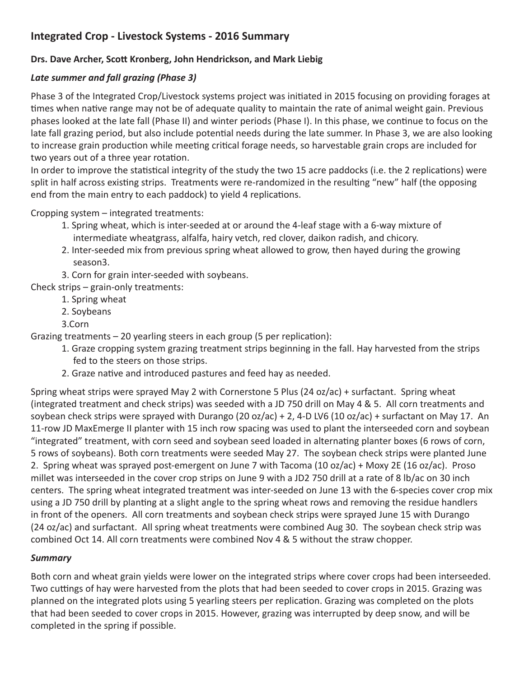## **Integrated Crop - Livestock Systems - 2016 Summary**

## **Drs. Dave Archer, Scott Kronberg, John Hendrickson, and Mark Liebig**

## *Late summer and fall grazing (Phase 3)*

Phase 3 of the Integrated Crop/Livestock systems project was initiated in 2015 focusing on providing forages at times when native range may not be of adequate quality to maintain the rate of animal weight gain. Previous phases looked at the late fall (Phase II) and winter periods (Phase I). In this phase, we continue to focus on the late fall grazing period, but also include potential needs during the late summer. In Phase 3, we are also looking to increase grain production while meeting critical forage needs, so harvestable grain crops are included for two years out of a three year rotation.

In order to improve the statistical integrity of the study the two 15 acre paddocks (i.e. the 2 replications) were split in half across existing strips. Treatments were re-randomized in the resulting "new" half (the opposing end from the main entry to each paddock) to yield 4 replications.

Cropping system – integrated treatments:

- 1. Spring wheat, which is inter-seeded at or around the 4-leaf stage with a 6-way mixture of intermediate wheatgrass, alfalfa, hairy vetch, red clover, daikon radish, and chicory.
- 2. Inter-seeded mix from previous spring wheat allowed to grow, then hayed during the growing season3.
- 3. Corn for grain inter-seeded with soybeans.

Check strips – grain-only treatments:

- 1. Spring wheat
- 2. Soybeans
- 3.Corn

Grazing treatments – 20 yearling steers in each group (5 per replication):

- 1. Graze cropping system grazing treatment strips beginning in the fall. Hay harvested from the strips fed to the steers on those strips.
- 2. Graze native and introduced pastures and feed hay as needed.

Spring wheat strips were sprayed May 2 with Cornerstone 5 Plus (24 oz/ac) + surfactant. Spring wheat (integrated treatment and check strips) was seeded with a JD 750 drill on May 4 & 5. All corn treatments and soybean check strips were sprayed with Durango (20 oz/ac) + 2, 4-D LV6 (10 oz/ac) + surfactant on May 17. An 11-row JD MaxEmerge II planter with 15 inch row spacing was used to plant the interseeded corn and soybean "integrated" treatment, with corn seed and soybean seed loaded in alternating planter boxes (6 rows of corn, 5 rows of soybeans). Both corn treatments were seeded May 27. The soybean check strips were planted June 2. Spring wheat was sprayed post-emergent on June 7 with Tacoma (10 oz/ac) + Moxy 2E (16 oz/ac). Proso millet was interseeded in the cover crop strips on June 9 with a JD2 750 drill at a rate of 8 lb/ac on 30 inch centers. The spring wheat integrated treatment was inter-seeded on June 13 with the 6-species cover crop mix using a JD 750 drill by planting at a slight angle to the spring wheat rows and removing the residue handlers in front of the openers. All corn treatments and soybean check strips were sprayed June 15 with Durango (24 oz/ac) and surfactant. All spring wheat treatments were combined Aug 30. The soybean check strip was combined Oct 14. All corn treatments were combined Nov 4 & 5 without the straw chopper.

## *Summary*

Both corn and wheat grain yields were lower on the integrated strips where cover crops had been interseeded. Two cuttings of hay were harvested from the plots that had been seeded to cover crops in 2015. Grazing was planned on the integrated plots using 5 yearling steers per replication. Grazing was completed on the plots that had been seeded to cover crops in 2015. However, grazing was interrupted by deep snow, and will be completed in the spring if possible.